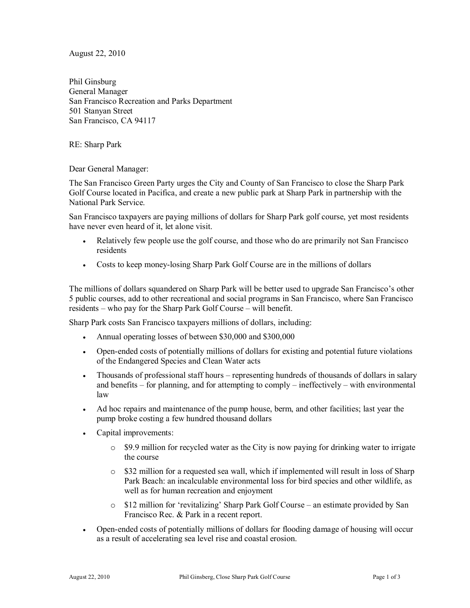August 22, 2010

Phil Ginsburg General Manager San Francisco Recreation and Parks Department 501 Stanyan Street San Francisco, CA 94117

RE: Sharp Park

Dear General Manager:

The San Francisco Green Party urges the City and County of San Francisco to close the Sharp Park Golf Course located in Pacifica, and create a new public park at Sharp Park in partnership with the National Park Service.

San Francisco taxpayers are paying millions of dollars for Sharp Park golf course, yet most residents have never even heard of it, let alone visit.

- Relatively few people use the golf course, and those who do are primarily not San Francisco residents
- · Costs to keep money-losing Sharp Park Golf Course are in the millions of dollars

The millions of dollars squandered on Sharp Park will be better used to upgrade San Francisco's other 5 public courses, add to other recreational and social programs in San Francisco, where San Francisco residents  $-\omega$  who pay for the Sharp Park Golf Course  $-\omega$  will benefit.

Sharp Park costs San Francisco taxpayers millions of dollars, including:

- · Annual operating losses of between \$30,000 and \$300,000
- · Open-ended costs of potentially millions of dollars for existing and potential future violations of the Endangered Species and Clean Water acts
- Thousands of professional staff hours representing hundreds of thousands of dollars in salary and benefits  $-$  for planning, and for attempting to comply  $-$  ineffectively  $-$  with environmental law
- · Ad hoc repairs and maintenance of the pump house, berm, and other facilities; last year the pump broke costing a few hundred thousand dollars
- · Capital improvements:
	- o \$9.9 million for recycled water as the City is now paying for drinking water to irrigate the course
	- o \$32 million for a requested sea wall, which if implemented will result in loss of Sharp Park Beach: an incalculable environmental loss for bird species and other wildlife, as well as for human recreation and enjoyment
	- $\circ$  \$12 million for 'revitalizing' Sharp Park Golf Course an estimate provided by San Francisco Rec. & Park in a recent report.
- · Open-ended costs of potentially millions of dollars for flooding damage of housing will occur as a result of accelerating sea level rise and coastal erosion.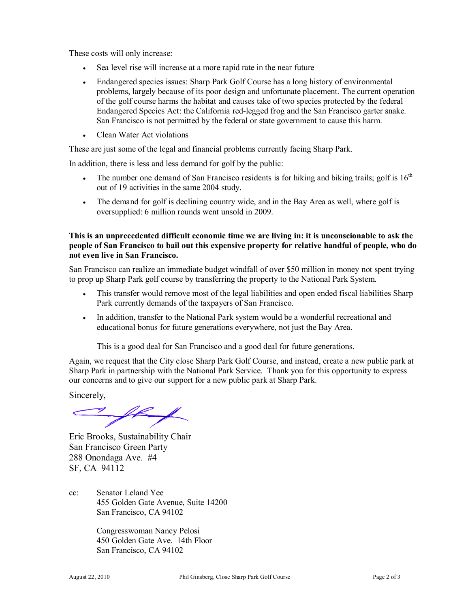These costs will only increase:

- Sea level rise will increase at a more rapid rate in the near future
- · Endangered species issues: Sharp Park Golf Course has a long history of environmental problems, largely because of its poor design and unfortunate placement. The current operation of the golf course harms the habitat and causes take of two species protected by the federal Endangered Species Act: the California red-legged frog and the San Francisco garter snake. San Francisco is not permitted by the federal or state government to cause this harm.
- · Clean Water Act violations

These are just some of the legal and financial problems currently facing Sharp Park.

In addition, there is less and less demand for golf by the public:

- The number one demand of San Francisco residents is for hiking and biking trails; golf is  $16<sup>th</sup>$ out of 19 activities in the same 2004 study.
- · The demand for golf is declining country wide, and in the Bay Area as well, where golf is oversupplied: 6 million rounds went unsold in 2009.

## **This is an unprecedented difficult economic time we are living in: it is unconscionable to ask the people of San Francisco to bail out this expensive property for relative handful of people, who do not even live in San Francisco.**

San Francisco can realize an immediate budget windfall of over \$50 million in money not spent trying to prop up Sharp Park golf course by transferring the property to the National Park System.

- · This transfer would remove most of the legal liabilities and open ended fiscal liabilities Sharp Park currently demands of the taxpayers of San Francisco.
- · In addition, transfer to the National Park system would be a wonderful recreational and educational bonus for future generations everywhere, not just the Bay Area.

This is a good deal for San Francisco and a good deal for future generations.

Again, we request that the City close Sharp Park Golf Course, and instead, create a new public park at Sharp Park in partnership with the National Park Service. Thank you for this opportunity to express our concerns and to give our support for a new public park at Sharp Park.

Sincerely,

Eric Brooks, Sustainability Chair San Francisco Green Party 288 Onondaga Ave. #4 SF, CA 94112

cc: Senator Leland Yee 455 Golden Gate Avenue, Suite 14200 San Francisco, CA 94102

> Congresswoman Nancy Pelosi 450 Golden Gate Ave. 14th Floor San Francisco, CA 94102